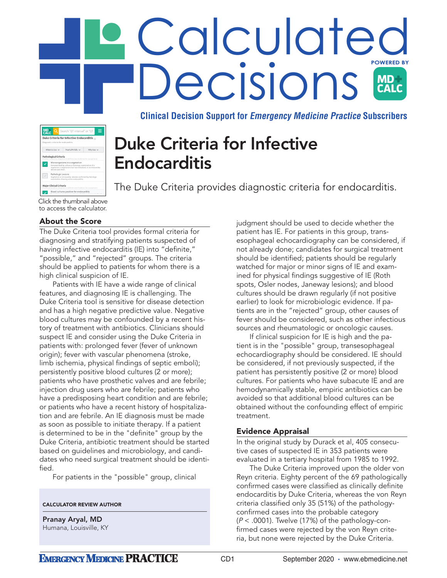# Calculated **ACISIONS** CALC

**Clinical Decision Support for Emergency Medicine Practice Subscribers**

| Duke Criteria for Infective Endocarditis<br>Diagnostic criteria for endocarditis. |                                                                                                        |                                                                                                                           |           |  |
|-----------------------------------------------------------------------------------|--------------------------------------------------------------------------------------------------------|---------------------------------------------------------------------------------------------------------------------------|-----------|--|
| When to Use v                                                                     |                                                                                                        | Pearls/Pitfalls v                                                                                                         | Why Use v |  |
|                                                                                   | abscess specimen.                                                                                      | Demonstrated by culture or histologic examination of a<br>vegetation, a vegetation that has embolized, or an intracardiac |           |  |
|                                                                                   | Pathologic Lesions                                                                                     |                                                                                                                           |           |  |
|                                                                                   | Vegetation or intracardiac abscess confirmed by histologic<br>examination showing active endocarditis. |                                                                                                                           |           |  |
|                                                                                   | <b>Major Clinical Criteria</b>                                                                         | If both are positive, diagnosis is definite (see Evidence for exceptions)                                                 |           |  |
|                                                                                   |                                                                                                        |                                                                                                                           |           |  |

Duke Criteria for Infective Endocarditis

The Duke Criteria provides diagnostic criteria for endocarditis.

# About the Score

The Duke Criteria tool provides formal criteria for diagnosing and stratifying patients suspected of having infective endocarditis (IE) into "definite," "possible," and "rejected" groups. The criteria should be applied to patients for whom there is a high clinical suspicion of IE.

Patients with IE have a wide range of clinical features, and diagnosing IE is challenging. The Duke Criteria tool is sensitive for disease detection and has a high negative predictive value. Negative blood cultures may be confounded by a recent history of treatment with antibiotics. Clinicians should suspect IE and consider using the Duke Criteria in patients with: prolonged fever (fever of unknown origin); fever with vascular phenomena (stroke, limb ischemia, physical findings of septic emboli); persistently positive blood cultures (2 or more); patients who have prosthetic valves and are febrile; injection drug users who are febrile; patients who have a predisposing heart condition and are febrile; or patients who have a recent history of hospitalization and are febrile. An IE diagnosis must be made as soon as possible to initiate therapy. If a patient is determined to be in the "definite" group by the Duke Criteria, antibiotic treatment should be started based on guidelines and microbiology, and candidates who need surgical treatment should be identified.

For patients in the "possible" group, clinical

### CALCULATOR REVIEW AUTHOR

Pranay Aryal, MD Humana, Louisville, KY judgment should be used to decide whether the patient has IE. For patients in this group, transesophageal echocardiography can be considered, if not already done; candidates for surgical treatment should be identified; patients should be regularly watched for major or minor signs of IE and examined for physical findings suggestive of IE (Roth spots, Osler nodes, Janeway lesions); and blood cultures should be drawn regularly (if not positive earlier) to look for microbiologic evidence. If patients are in the "rejected" group, other causes of fever should be considered, such as other infectious sources and rheumatologic or oncologic causes.

If clinical suspicion for IE is high and the patient is in the "possible" group, transesophageal echocardiography should be considered. IE should be considered, if not previously suspected, if the patient has persistently positive (2 or more) blood cultures. For patients who have subacute IE and are hemodynamically stable, empiric antibiotics can be avoided so that additional blood cultures can be obtained without the confounding effect of empiric treatment.

### Evidence Appraisal

In the original study by Durack et al, 405 consecutive cases of suspected IE in 353 patients were evaluated in a tertiary hospital from 1985 to 1992.

The Duke Criteria improved upon the older von Reyn criteria. Eighty percent of the 69 pathologically confirmed cases were classified as clinically definite endocarditis by Duke Criteria, whereas the von Reyn criteria classified only 35 (51%) of the pathologyconfirmed cases into the probable category  $(P < .0001)$ . Twelve (17%) of the pathology-confirmed cases were rejected by the von Reyn criteria, but none were rejected by the Duke Criteria.

Click the thumbnail above to access the calculator.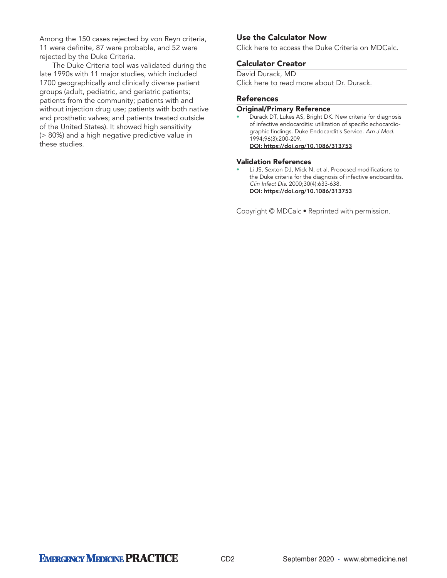Among the 150 cases rejected by von Reyn criteria, 11 were definite, 87 were probable, and 52 were rejected by the Duke Criteria.

The Duke Criteria tool was validated during the late 1990s with 11 major studies, which included 1700 geographically and clinically diverse patient groups (adult, pediatric, and geriatric patients; patients from the community; patients with and without injection drug use; patients with both native and prosthetic valves; and patients treated outside of the United States). It showed high sensitivity (> 80%) and a high negative predictive value in these studies.

# Use the Calculator Now

[Click here to access the Duke Criteria on MDCalc.](https://www.mdcalc.com/duke-criteria-infective-endocarditis)

## Calculator Creator

David Durack, MD [Click here to read more about Dr. Durack.](https://www.mdcalc.com/duke-criteria-infective-endocarditis#creator-insights)

## References

#### Original/Primary Reference

• Durack DT, Lukes AS, Bright DK. New criteria for diagnosis of infective endocarditis: utilization of specific echocardiographic findings. Duke Endocarditis Service. Am J Med. 1994;96(3):200-209. DOI: <https://doi.org/10.1086/313753>

### Validation References

Li JS, Sexton DJ, Mick N, et al. Proposed modifications to the Duke criteria for the diagnosis of infective endocarditis. Clin Infect Dis. 2000;30(4):633-638. [DOI:](DOI: hyperlinkURL ) <https://doi.org/10.1086/313753>

Copyright © MDCalc • Reprinted with permission.